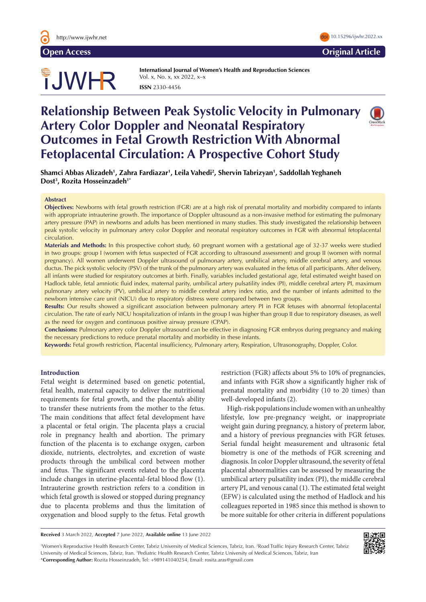

# **Open Access Original Article**

# TJWHR

**International Journal of Women's Health and Reproduction Sciences**  Vol. x, No. x, xx 2022, x–x **ISSN** 2330-4456

# **Relationship Between Peak Systolic Velocity in Pulmonary Artery Color Doppler and Neonatal Respiratory Outcomes in Fetal Growth Restriction With Abnormal Fetoplacental Circulation: A Prospective Cohort Study**



**Shamci Abbas Alizadeh1 , Zahra Fardiazar1 , Leila Vahedi2 , Shervin Tabrizyan1 , Saddollah Yeghaneh Dost3 , Rozita Hosseinzadeh1\***

# **Abstract**

**Objectives:** Newborns with fetal growth restriction (FGR) are at a high risk of prenatal mortality and morbidity compared to infants with appropriate intrauterine growth. The importance of Doppler ultrasound as a non-invasive method for estimating the pulmonary artery pressure (PAP) in newborns and adults has been mentioned in many studies. This study investigated the relationship between peak systolic velocity in pulmonary artery color Doppler and neonatal respiratory outcomes in FGR with abnormal fetoplacental circulation.

**Materials and Methods:** In this prospective cohort study, 60 pregnant women with a gestational age of 32-37 weeks were studied in two groups: group I (women with fetus suspected of FGR according to ultrasound assessment) and group II (women with normal pregnancy). All women underwent Doppler ultrasound of pulmonary artery, umbilical artery, middle cerebral artery, and venous ductus. The pick systolic velocity (PSV) of the trunk of the pulmonary artery was evaluated in the fetus of all participants. After delivery, all infants were studied for respiratory outcomes at birth. Finally, variables included gestational age, fetal estimated weight based on Hadlock table, fetal amniotic fluid index, maternal parity, umbilical artery pulsatility index (PI), middle cerebral artery PI, maximum pulmonary artery velocity (PV), umbilical artery to middle cerebral artery index ratio, and the number of infants admitted to the newborn intensive care unit (NICU) due to respiratory distress were compared between two groups.

**Results:** Our results showed a significant association between pulmonary artery PI in FGR fetuses with abnormal fetoplacental circulation. The rate of early NICU hospitalization of infants in the group I was higher than group II due to respiratory diseases, as well as the need for oxygen and continuous positive airway pressure (CPAP).

**Conclusions:** Pulmonary artery color Doppler ultrasound can be effective in diagnosing FGR embryos during pregnancy and making the necessary predictions to reduce prenatal mortality and morbidity in these infants.

**Keywords:** Fetal growth restriction, Placental insufficiency, Pulmonary artery, Respiration, Ultrasonography, Doppler, Color.

# **Introduction**

Fetal weight is determined based on genetic potential, fetal health, maternal capacity to deliver the nutritional requirements for fetal growth, and the placenta's ability to transfer these nutrients from the mother to the fetus. The main conditions that affect fetal development have a placental or fetal origin. The placenta plays a crucial role in pregnancy health and abortion. The primary function of the placenta is to exchange oxygen, carbon dioxide, nutrients, electrolytes, and excretion of waste products through the umbilical cord between mother and fetus. The significant events related to the placenta include changes in uterine-placental-fetal blood flow (1). Intrauterine growth restriction refers to a condition in which fetal growth is slowed or stopped during pregnancy due to placenta problems and thus the limitation of oxygenation and blood supply to the fetus. Fetal growth restriction (FGR) affects about 5% to 10% of pregnancies, and infants with FGR show a significantly higher risk of prenatal mortality and morbidity (10 to 20 times) than well-developed infants (2).

High-risk populations include women with an unhealthy lifestyle, low pre-pregnancy weight, or inappropriate weight gain during pregnancy, a history of preterm labor, and a history of previous pregnancies with FGR fetuses. Serial fundal height measurement and ultrasonic fetal biometry is one of the methods of FGR screening and diagnosis. In color Doppler ultrasound, the severity of fetal placental abnormalities can be assessed by measuring the umbilical artery pulsatility index (PI), the middle cerebral artery PI, and venous canal (1). The estimated fetal weight (EFW) is calculated using the method of Hadlock and his colleagues reported in 1985 since this method is shown to be more suitable for other criteria in different populations

**Received** 3 March 2022, **Accepted** 7 June 2022, **Available online** 13 June 2022

1 Women's Reproductive Health Research Center, Tabriz University of Medical Sciences, Tabriz, Iran. 2 Road Traffic Injury Research Center, Tabriz University of Medical Sciences, Tabriz, Iran. <sup>3</sup>Pediatric Health Research Center, Tabriz University of Medical Sciences, Tabriz, Iran \***Corresponding Author:** Rozita Hosseinzadeh, Tel: +989141040254, Email: rosita.aras@gmail.com

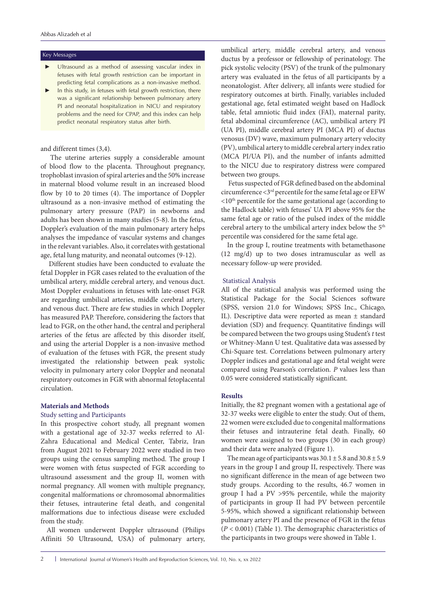#### Key Messages

- Ultrasound as a method of assessing vascular index in fetuses with fetal growth restriction can be important in predicting fetal complications as a non-invasive method.
- In this study, in fetuses with fetal growth restriction, there was a significant relationship between pulmonary artery PI and neonatal hospitalization in NICU and respiratory problems and the need for CPAP, and this index can help predict neonatal respiratory status after birth.

# and different times (3,4).

 The uterine arteries supply a considerable amount of blood flow to the placenta. Throughout pregnancy, trophoblast invasion of spiral arteries and the 50% increase in maternal blood volume result in an increased blood flow by 10 to 20 times (4). The importance of Doppler ultrasound as a non-invasive method of estimating the pulmonary artery pressure (PAP) in newborns and adults has been shown in many studies (5-8). In the fetus, Doppler's evaluation of the main pulmonary artery helps analyses the impedance of vascular systems and changes in the relevant variables. Also, it correlates with gestational age, fetal lung maturity, and neonatal outcomes (9-12).

 Different studies have been conducted to evaluate the fetal Doppler in FGR cases related to the evaluation of the umbilical artery, middle cerebral artery, and venous duct. Most Doppler evaluations in fetuses with late-onset FGR are regarding umbilical arteries, middle cerebral artery, and venous duct. There are few studies in which Doppler has measured PAP. Therefore, considering the factors that lead to FGR, on the other hand, the central and peripheral arteries of the fetus are affected by this disorder itself, and using the arterial Doppler is a non-invasive method of evaluation of the fetuses with FGR, the present study investigated the relationship between peak systolic velocity in pulmonary artery color Doppler and neonatal respiratory outcomes in FGR with abnormal fetoplacental circulation.

# **Materials and Methods**

#### Study setting and Participants

In this prospective cohort study, all pregnant women with a gestational age of 32-37 weeks referred to Al-Zahra Educational and Medical Center, Tabriz, Iran from August 2021 to February 2022 were studied in two groups using the census sampling method. The group I were women with fetus suspected of FGR according to ultrasound assessment and the group II, women with normal pregnancy. All women with multiple pregnancy, congenital malformations or chromosomal abnormalities their fetuses, intrauterine fetal death, and congenital malformations due to infectious disease were excluded from the study.

All women underwent Doppler ultrasound (Philips Affiniti 50 Ultrasound, USA) of pulmonary artery,

umbilical artery, middle cerebral artery, and venous ductus by a professor or fellowship of perinatology. The pick systolic velocity (PSV) of the trunk of the pulmonary artery was evaluated in the fetus of all participants by a neonatologist. After delivery, all infants were studied for respiratory outcomes at birth. Finally, variables included gestational age, fetal estimated weight based on Hadlock table, fetal amniotic fluid index (FAI), maternal parity, fetal abdominal circumference (AC), umbilical artery PI (UA PI), middle cerebral artery PI (MCA PI) of ductus venosus (DV) wave, maximum pulmonary artery velocity (PV), umbilical artery to middle cerebral artery index ratio (MCA PI/UA PI), and the number of infants admitted to the NICU due to respiratory distress were compared between two groups.

 Fetus suspected of FGR defined based on the abdominal circumference <3rd percentile for the same fetal age or EFW  $\langle 10^{th}$  percentile for the same gestational age (according to the Hadlock table) with fetuses' UA PI above 95% for the same fetal age or ratio of the pulsed index of the middle cerebral artery to the umbilical artery index below the 5<sup>th</sup> percentile was considered for the same fetal age.

In the group I, routine treatments with betamethasone (12 mg/d) up to two doses intramuscular as well as necessary follow-up were provided.

# Statistical Analysis

All of the statistical analysis was performed using the Statistical Package for the Social Sciences software (SPSS, version 21.0 for Windows; SPSS Inc., Chicago, IL). Descriptive data were reported as mean ± standard deviation (SD) and frequency. Quantitative findings will be compared between the two groups using Student's *t* test or Whitney-Mann U test. Qualitative data was assessed by Chi-Square test. Correlations between pulmonary artery Doppler indices and gestational age and fetal weight were compared using Pearson's correlation. *P* values less than 0.05 were considered statistically significant.

# **Results**

Initially, the 82 pregnant women with a gestational age of 32-37 weeks were eligible to enter the study. Out of them, 22 women were excluded due to congenital malformations their fetuses and intrauterine fetal death. Finally, 60 women were assigned to two groups (30 in each group) and their data were analyzed (Figure 1).

The mean age of participants was  $30.1 \pm 5.8$  and  $30.8 \pm 5.9$ years in the group I and group II, respectively. There was no significant difference in the mean of age between two study groups. According to the results, 46.7 women in group I had a PV >95% percentile, while the majority of participants in group II had PV between percentile 5-95%, which showed a significant relationship between pulmonary artery PI and the presence of FGR in the fetus (*P* < 0.001) (Table 1). The demographic characteristics of the participants in two groups were showed in Table 1.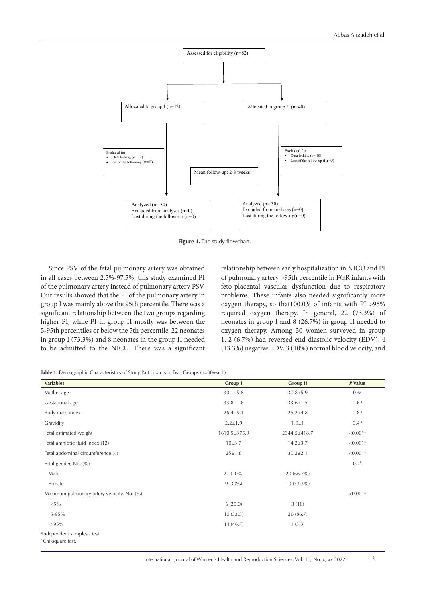

**Figure 1.** The study flowchart.

 Since PSV of the fetal pulmonary artery was obtained in all cases between 2.5%-97.5%, this study examined PI of the pulmonary artery instead of pulmonary artery PSV. Our results showed that the PI of the pulmonary artery in group I was mainly above the 95th percentile. There was a significant relationship between the two groups regarding higher PI, while PI in group II mostly was between the 5-95th percentiles or below the 5th percentile. 22 neonates in group I (73.3%) and 8 neonates in the group II needed to be admitted to the NICU. There was a significant

relationship between early hospitalization in NICU and PI of pulmonary artery >95th percentile in FGR infants with feto-placental vascular dysfunction due to respiratory problems. These infants also needed significantly more oxygen therapy, so that100.0% of infants with PI >95% required oxygen therapy. In general, 22 (73.3%) of neonates in group I and 8 (26.7%) in group II needed to oxygen therapy. Among 30 women surveyed in group 1, 2 (6.7%) had reversed end-diastolic velocity (EDV), 4 (13.3%) negative EDV, 3 (10%) normal blood velocity, and

**Table 1.** Demographic Characteristics of Study Participants in Two Groups (n=30/each)

| <b>Variables</b>                           | <b>Group I</b> | <b>Group II</b> | P Value                 |
|--------------------------------------------|----------------|-----------------|-------------------------|
| Mother age                                 | $30.1 \pm 5.8$ | $30.8 \pm 5.9$  | 0.6 <sup>a</sup>        |
| Gestational age                            | $33.8 \pm 1.6$ | $33.6 \pm 1.5$  | 0.6 <sup>a</sup>        |
| Body mass index                            | $26.4 \pm 5.1$ | $26.2 \pm 4.8$  | 0.8 <sup>a</sup>        |
| Gravidity                                  | $2.2 \pm 1.9$  | $1.9 + 1$       | 0.4 <sup>a</sup>        |
| Fetal estimated weight                     | 1610.5±375.9   | 2344.5±418.7    | ${<}0.001$ <sup>a</sup> |
| Fetal amniotic fluid index (12)            | 10±3.7         | $14.2 \pm 3.7$  | ${<}0.001$ <sup>a</sup> |
| Fetal abdominal circumference (4)          | $25 \pm 1.8$   | $30.2 \pm 2.1$  | ${<}0.001$ <sup>a</sup> |
| Fetal gender, No. (%)                      |                |                 | 0.7 <sup>b</sup>        |
| Male                                       | 21 (70%)       | $20(66.7\%)$    |                         |
| Female                                     | $9(30\%)$      | $10(33.3\%)$    |                         |
| Maximum pulmonary artery velocity, No. (%) |                |                 | ${<}0.001$ <sup>a</sup> |
| ${<}5\%$                                   | 6(20.0)        | 3(10)           |                         |
| 5-95%                                      | 10(33.3)       | 26 (86.7)       |                         |
| $>95\%$                                    | 14 (46.7)      | 1(3.3)          |                         |
| aIndependent samples t test.               |                |                 |                         |

b Chi-square test.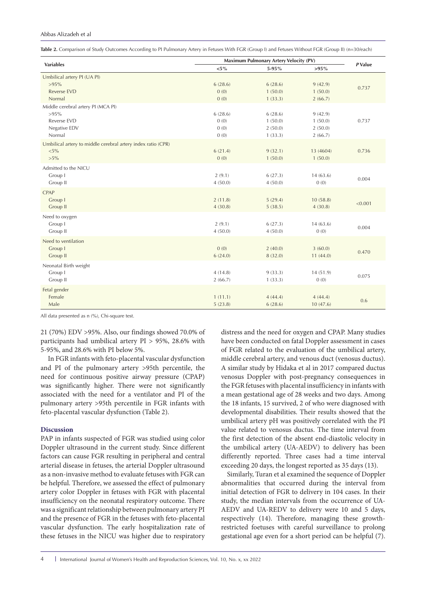#### Abbas Alizadeh et al

|  |  |  |  |  | Table 2. Comparison of Study Outcomes According to PI Pulmonary Artery in Fetuses With FGR (Group I) and Fetuses Without FGR (Group II) (n=30/each) |
|--|--|--|--|--|-----------------------------------------------------------------------------------------------------------------------------------------------------|
|--|--|--|--|--|-----------------------------------------------------------------------------------------------------------------------------------------------------|

|                                                              | Maximum Pulmonary Artery Velocity (PV) |         |           |         |
|--------------------------------------------------------------|----------------------------------------|---------|-----------|---------|
| <b>Variables</b>                                             | $<\!\!5\,\%$                           | 5-95%   | $>95\%$   | P Value |
| Umbilical artery PI (UA PI)                                  |                                        |         |           |         |
| $>95\%$                                                      | 6(28.6)                                | 6(28.6) | 9(42.9)   | 0.737   |
| <b>Reverse EVD</b>                                           | 0(0)                                   | 1(50.0) | 1(50.0)   |         |
| Normal                                                       | 0(0)                                   | 1(33.3) | 2(66.7)   |         |
| Middle cerebral artery PI (MCA PI)                           |                                        |         |           |         |
| $>95\%$                                                      | 6(28.6)                                | 6(28.6) | 9(42.9)   |         |
| Reverse EVD                                                  | 0(0)                                   | 1(50.0) | 1(50.0)   | 0.737   |
| Negative EDV                                                 | 0(0)                                   | 2(50.0) | 2(50.0)   |         |
| Normal                                                       | 0(0)                                   | 1(33.3) | 2(66.7)   |         |
| Umbilical artery to middle cerebral artery index ratio (CPR) |                                        |         |           |         |
| $< 5\%$                                                      | 6(21.4)                                | 9(32.1) | 13 (4604) | 0.736   |
| $>5\%$                                                       | 0(0)                                   | 1(50.0) | 1(50.0)   |         |
| Admitted to the NICU                                         |                                        |         |           |         |
| Group I                                                      | 2(9.1)                                 | 6(27.3) | 14(63.6)  |         |
| Group II                                                     | 4(50.0)                                | 4(50.0) | 0(0)      | 0.004   |
| CPAP                                                         |                                        |         |           |         |
| Group I                                                      | 2(11.8)                                | 5(29.4) | 10(58.8)  |         |
| Group II                                                     | 4(30.8)                                | 5(38.5) | 4(30.8)   | < 0.001 |
|                                                              |                                        |         |           |         |
| Need to oxygen<br>Group I                                    | 2(9.1)                                 | 6(27.3) | 14(63.6)  |         |
| Group II                                                     | 4(50.0)                                | 4(50.0) | 0(0)      | 0.004   |
|                                                              |                                        |         |           |         |
| Need to ventilation                                          |                                        |         |           |         |
| Group I                                                      | 0(0)                                   | 2(40.0) | 3(60.0)   | 0.470   |
| Group II                                                     | 6(24.0)                                | 8(32.0) | 11(44.0)  |         |
| Neonatal Birth weight                                        |                                        |         |           |         |
| Group I                                                      | 4(14.8)                                | 9(33.3) | 14(51.9)  | 0.075   |
| Group II                                                     | 2(66.7)                                | 1(33.3) | 0(0)      |         |
| Fetal gender                                                 |                                        |         |           |         |
| Female                                                       | 1(11.1)                                | 4(44.4) | 4(44.4)   |         |
| Male                                                         | 5(23.8)                                | 6(28.6) | 10(47.6)  | 0.6     |

All data presented as n (%), Chi-square test.

21 (70%) EDV >95%. Also, our findings showed 70.0% of participants had umbilical artery PI > 95%, 28.6% with 5-95%, and 28.6% with PI below 5%.

 In FGR infants with feto-placental vascular dysfunction and PI of the pulmonary artery >95th percentile, the need for continuous positive airway pressure (CPAP) was significantly higher. There were not significantly associated with the need for a ventilator and PI of the pulmonary artery >95th percentile in FGR infants with feto-placental vascular dysfunction (Table 2).

# **Discussion**

PAP in infants suspected of FGR was studied using color Doppler ultrasound in the current study. Since different factors can cause FGR resulting in peripheral and central arterial disease in fetuses, the arterial Doppler ultrasound as a non-invasive method to evaluate fetuses with FGR can be helpful. Therefore, we assessed the effect of pulmonary artery color Doppler in fetuses with FGR with placental insufficiency on the neonatal respiratory outcome. There was a significant relationship between pulmonary artery PI and the presence of FGR in the fetuses with feto-placental vascular dysfunction. The early hospitalization rate of these fetuses in the NICU was higher due to respiratory

distress and the need for oxygen and CPAP. Many studies have been conducted on fatal Doppler assessment in cases of FGR related to the evaluation of the umbilical artery, middle cerebral artery, and venous duct (venosus ductus). A similar study by Hidaka et al in 2017 compared ductus venosus Doppler with post-pregnancy consequences in the FGR fetuses with placental insufficiency in infants with a mean gestational age of 28 weeks and two days. Among the 18 infants, 15 survived, 2 of who were diagnosed with developmental disabilities. Their results showed that the umbilical artery pH was positively correlated with the PI value related to venosus ductus. The time interval from the first detection of the absent end-diastolic velocity in the umbilical artery (UA-AEDV) to delivery has been differently reported. Three cases had a time interval exceeding 20 days, the longest reported as 35 days (13).

Similarly, Turan et al examined the sequence of Doppler abnormalities that occurred during the interval from initial detection of FGR to delivery in 104 cases. In their study, the median intervals from the occurrence of UA-AEDV and UA-REDV to delivery were 10 and 5 days, respectively (14). Therefore, managing these growthrestricted foetuses with careful surveillance to prolong gestational age even for a short period can be helpful (7).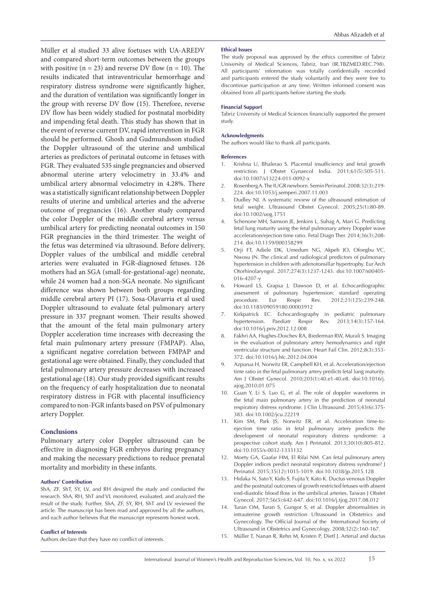Müller et al studied 33 alive foetuses with UA-AREDV and compared short-term outcomes between the groups with positive  $(n = 23)$  and reverse DV flow  $(n = 10)$ . The results indicated that intraventricular hemorrhage and respiratory distress syndrome were significantly higher, and the duration of ventilation was significantly longer in the group with reverse DV flow (15). Therefore, reverse DV flow has been widely studied for postnatal morbidity and impending fetal death. This study has shown that in the event of reverse current DV, rapid intervention in FGR should be performed. Ghosh and Gudmundsson studied the Doppler ultrasound of the uterine and umbilical arteries as predictors of perinatal outcome in fetuses with FGR. They evaluated 535 single pregnancies and observed abnormal uterine artery velocimetry in 33.4% and umbilical artery abnormal velocimetry in 4.28%. There was a statistically significant relationship between Doppler results of uterine and umbilical arteries and the adverse outcome of pregnancies (16). Another study compared the color Doppler of the middle cerebral artery versus umbilical artery for predicting neonatal outcomes in 150 FGR pregnancies in the third trimester. The weight of the fetus was determined via ultrasound. Before delivery, Doppler values of the umbilical and middle cerebral arteries were evaluated in FGR-diagnosed fetuses. 126 mothers had an SGA (small-for-gestational-age) neonate, while 24 women had a non-SGA neonate. No significant difference was shown between both groups regarding middle cerebral artery PI (17). Sosa-Olavarria et al used Doppler ultrasound to evaluate fetal pulmonary artery pressure in 337 pregnant women. Their results showed that the amount of the fetal main pulmonary artery Doppler acceleration time increases with decreasing the fetal main pulmonary artery pressure (FMPAP). Also, a significant negative correlation between FMPAP and gestational age were obtained. Finally, they concluded that fetal pulmonary artery pressure decreases with increased gestational age (18). Our study provided significant results on the frequency of early hospitalization due to neonatal respiratory distress in FGR with placental insufficiency compared to non-FGR infants based on PSV of pulmonary artery Doppler.

#### **Conclusions**

Pulmonary artery color Doppler ultrasound can be effective in diagnosing FGR embryos during pregnancy and making the necessary predictions to reduce prenatal mortality and morbidity in these infants.

#### **Authors' Contribution**

ShA, ZF, ShT, SY, LV, and RH designed the study and conducted the research. ShA, RH, ShT and VL monitored, evaluated, and analyzed the result of the study. Further, ShA, ZF, SY, RH, ShT and LV reviewed the article. The manuscript has been read and approved by all the authors, and each author believes that the manuscript represents honest work.

#### **Conflict of Interests**

Authors declare that they have no conflict of interests.

# **Ethical Issues**

The study proposal was approved by the ethics committee of Tabriz University of Medical Sciences, Tabriz, Iran (IR.TBZMED.REC.798). All participants' information was totally confidentially recorded and participants entered the study voluntarily and they were free to discontinue participation at any time. Written informed consent was obtained from all participants before starting the study.

#### **Financial Support**

Tabriz University of Medical Sciences financially supported the present study.

#### **Acknowledgments**

The authors would like to thank all participants.

#### **References**

- 1. Krishna U, Bhalerao S. Placental insufficiency and fetal growth restriction. J Obstet Gynaecol India. 2011;61(5):505-511. doi:10.1007/s13224-011-0092-x
- 2. Rosenberg A. The IUGR newborn. Semin Perinatol. 2008;32(3):219- 224. doi:10.1053/j.semperi.2007.11.003
- 3. Dudley NJ. A systematic review of the ultrasound estimation of fetal weight. Ultrasound Obstet Gynecol. 2005;25(1):80-89. doi:10.1002/uog.1751
- 4. Schenone MH, Samson JE, Jenkins L, Suhag A, Mari G. Predicting fetal lung maturity using the fetal pulmonary artery Doppler wave acceleration/ejection time ratio. Fetal Diagn Ther. 2014;36(3):208- 214. doi:10.1159/000358299
- 5. Orji FT, Adiele DK, Umedum NG, Akpeh JO, Ofoegbu VC, Nwosu JN. The clinical and radiological predictors of pulmonary hypertension in children with adenotonsillar hypertrophy. Eur Arch Otorhinolaryngol. 2017;274(3):1237-1243. doi:10.1007/s00405- 016-4207-y
- 6. Howard LS, Grapsa J, Dawson D, et al. Echocardiographic assessment of pulmonary hypertension: standard operating procedure. Eur Respir Rev. 2012;21(125):239-248. doi:10.1183/09059180.00003912
- 7. Kirkpatrick EC. Echocardiography in pediatric pulmonary hypertension. Paediatr Respir Rev. 2013;14(3):157-164. doi:10.1016/j.prrv.2012.12.008
- 8. Fakhri AA, Hughes-Doichev RA, Biederman RW, Murali S. Imaging in the evaluation of pulmonary artery hemodynamics and right ventricular structure and function. Heart Fail Clin. 2012;8(3):353- 372. doi:10.1016/j.hfc.2012.04.004
- 9. Azpurua H, Norwitz ER, Campbell KH, et al. Acceleration/ejection time ratio in the fetal pulmonary artery predicts fetal lung maturity. Am J Obstet Gynecol. 2010;203(1):40.e1-40.e8. doi:10.1016/j. ajog.2010.01.075
- 10. Guan Y, Li S, Luo G, et al. The role of doppler waveforms in the fetal main pulmonary artery in the prediction of neonatal respiratory distress syndrome. J Clin Ultrasound. 2015;43(6):375- 383. doi:10.1002/jcu.22219
- 11. Kim SM, Park JS, Norwitz ER, et al. Acceleration time-toejection time ratio in fetal pulmonary artery predicts the development of neonatal respiratory distress syndrome: a prospective cohort study. Am J Perinatol. 2013;30(10):805-812. doi:10.1055/s-0032-1333132
- 12. Moety GA, Gaafar HM, El Rifai NM. Can fetal pulmonary artery Doppler indices predict neonatal respiratory distress syndrome? J Perinatol. 2015;35(12):1015-1019. doi:10.1038/jp.2015.128
- 13. Hidaka N, Sato Y, Kido S, Fujita Y, Kato K. Ductus venosus Doppler and the postnatal outcomes of growth restricted fetuses with absent end-diastolic blood flow in the umbilical arteries. Taiwan J Obstet Gynecol. 2017;56(5):642-647. doi:10.1016/j.tjog.2017.08.012
- 14. Turan OM, Turan S, Gungor S, et al. Doppler abnormalities in intrauterine growth restriction Ultrasound in Obstetrics and Gynecology. The Official Journal of the International Society of Ultrasound in Obstetrics and Gynecology. 2008;32(2):160-167.
- 15. Müller T, Nanan R, Rehn M, Kristen P, Dietl J. Arterial and ductus